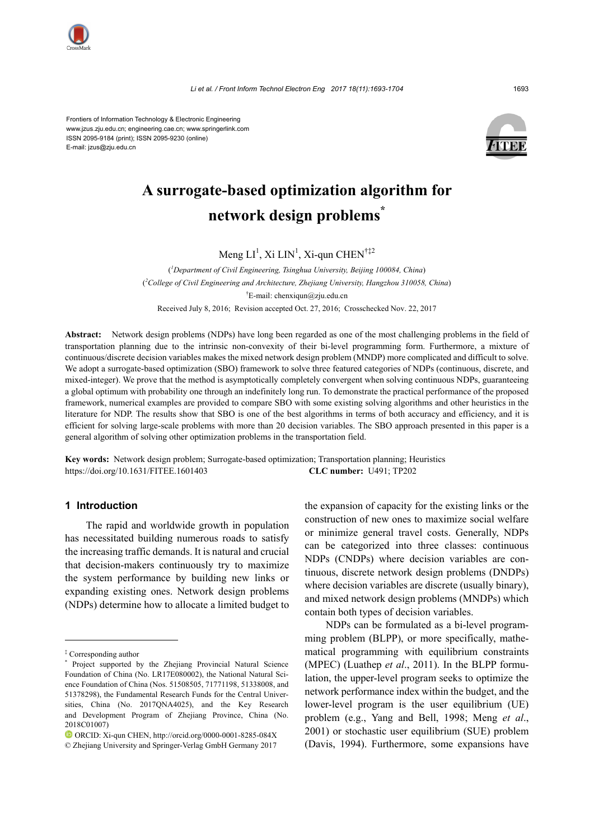

Frontiers of Information Technology & Electronic Engineering www.jzus.zju.edu.cn; engineering.cae.cn; www.springerlink.com ISSN 2095-9184 (print); ISSN 2095-9230 (online) E-mail: jzus@zju.edu.cn



# **A surrogate-based optimization algorithm for network design problems\***

Meng  $LI^1$ , Xi  $LIN^1$ , Xi-qun CHEN<sup>†‡2</sup>

( *1 Department of Civil Engineering, Tsinghua University, Beijing 100084, China*) ( *2 College of Civil Engineering and Architecture, Zhejiang University, Hangzhou 310058, China*) † E-mail: chenxiqun@zju.edu.cn Received July 8, 2016; Revision accepted Oct. 27, 2016; Crosschecked Nov. 22, 2017

**Abstract:** Network design problems (NDPs) have long been regarded as one of the most challenging problems in the field of transportation planning due to the intrinsic non-convexity of their bi-level programming form. Furthermore, a mixture of continuous/discrete decision variables makes the mixed network design problem (MNDP) more complicated and difficult to solve. We adopt a surrogate-based optimization (SBO) framework to solve three featured categories of NDPs (continuous, discrete, and mixed-integer). We prove that the method is asymptotically completely convergent when solving continuous NDPs, guaranteeing a global optimum with probability one through an indefinitely long run. To demonstrate the practical performance of the proposed framework, numerical examples are provided to compare SBO with some existing solving algorithms and other heuristics in the literature for NDP. The results show that SBO is one of the best algorithms in terms of both accuracy and efficiency, and it is efficient for solving large-scale problems with more than 20 decision variables. The SBO approach presented in this paper is a general algorithm of solving other optimization problems in the transportation field.

**Key words:** Network design problem; Surrogate-based optimization; Transportation planning; Heuristics https://doi.org/10.1631/FITEE.1601403 **CLC number:** U491; TP202

## **1 Introduction**

The rapid and worldwide growth in population has necessitated building numerous roads to satisfy the increasing traffic demands. It is natural and crucial that decision-makers continuously try to maximize the system performance by building new links or expanding existing ones. Network design problems (NDPs) determine how to allocate a limited budget to the expansion of capacity for the existing links or the construction of new ones to maximize social welfare or minimize general travel costs. Generally, NDPs can be categorized into three classes: continuous NDPs (CNDPs) where decision variables are continuous, discrete network design problems (DNDPs) where decision variables are discrete (usually binary), and mixed network design problems (MNDPs) which contain both types of decision variables.

NDPs can be formulated as a bi-level programming problem (BLPP), or more specifically, mathematical programming with equilibrium constraints (MPEC) (Luathep *et al*., 2011). In the BLPP formulation, the upper-level program seeks to optimize the network performance index within the budget, and the lower-level program is the user equilibrium (UE) problem (e.g., Yang and Bell, 1998; Meng *et al*., 2001) or stochastic user equilibrium (SUE) problem (Davis, 1994). Furthermore, some expansions have

<sup>‡</sup> Corresponding author

Project supported by the Zhejiang Provincial Natural Science Foundation of China (No. LR17E080002), the National Natural Science Foundation of China (Nos. 51508505, 71771198, 51338008, and 51378298), the Fundamental Research Funds for the Central Universities, China (No. 2017QNA4025), and the Key Research and Development Program of Zhejiang Province, China (No. 2018C01007)

ORCID: Xi-qun CHEN, http://orcid.org/0000-0001-8285-084X © Zhejiang University and Springer-Verlag GmbH Germany 2017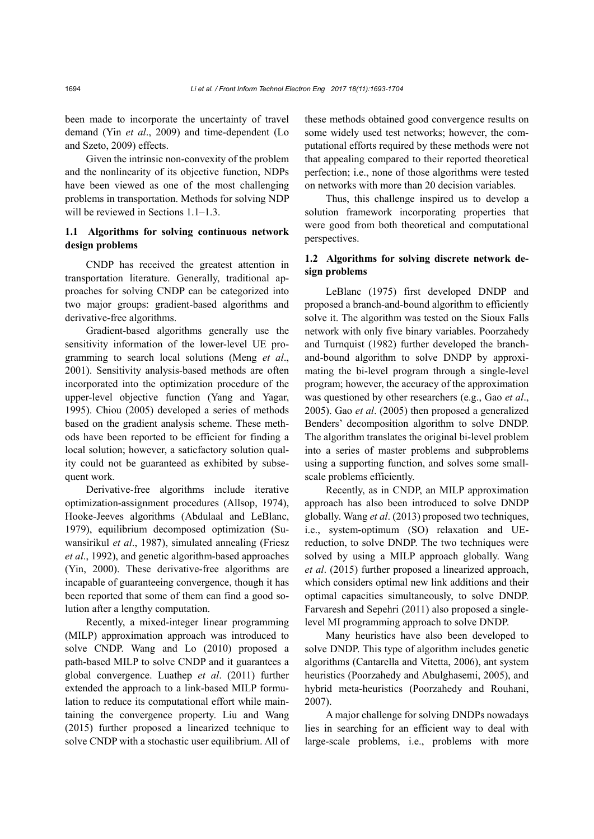been made to incorporate the uncertainty of travel demand (Yin *et al*., 2009) and time-dependent (Lo and Szeto, 2009) effects.

Given the intrinsic non-convexity of the problem and the nonlinearity of its objective function, NDPs have been viewed as one of the most challenging problems in transportation. Methods for solving NDP will be reviewed in Sections 1.1–1.3.

# **1.1 Algorithms for solving continuous network design problems**

CNDP has received the greatest attention in transportation literature. Generally, traditional approaches for solving CNDP can be categorized into two major groups: gradient-based algorithms and derivative-free algorithms.

Gradient-based algorithms generally use the sensitivity information of the lower-level UE programming to search local solutions (Meng *et al*., 2001). Sensitivity analysis-based methods are often incorporated into the optimization procedure of the upper-level objective function (Yang and Yagar, 1995). Chiou (2005) developed a series of methods based on the gradient analysis scheme. These methods have been reported to be efficient for finding a local solution; however, a saticfactory solution quality could not be guaranteed as exhibited by subsequent work.

Derivative-free algorithms include iterative optimization-assignment procedures (Allsop, 1974), Hooke-Jeeves algorithms (Abdulaal and LeBlanc, 1979), equilibrium decomposed optimization (Suwansirikul *et al*., 1987), simulated annealing (Friesz *et al*., 1992), and genetic algorithm-based approaches (Yin, 2000). These derivative-free algorithms are incapable of guaranteeing convergence, though it has been reported that some of them can find a good solution after a lengthy computation.

Recently, a mixed-integer linear programming (MILP) approximation approach was introduced to solve CNDP. Wang and Lo (2010) proposed a path-based MILP to solve CNDP and it guarantees a global convergence. Luathep *et al*. (2011) further extended the approach to a link-based MILP formulation to reduce its computational effort while maintaining the convergence property. Liu and Wang (2015) further proposed a linearized technique to solve CNDP with a stochastic user equilibrium. All of these methods obtained good convergence results on some widely used test networks; however, the computational efforts required by these methods were not that appealing compared to their reported theoretical perfection; i.e., none of those algorithms were tested on networks with more than 20 decision variables.

Thus, this challenge inspired us to develop a solution framework incorporating properties that were good from both theoretical and computational perspectives.

# **1.2 Algorithms for solving discrete network design problems**

LeBlanc (1975) first developed DNDP and proposed a branch-and-bound algorithm to efficiently solve it. The algorithm was tested on the Sioux Falls network with only five binary variables. Poorzahedy and Turnquist (1982) further developed the branchand-bound algorithm to solve DNDP by approximating the bi-level program through a single-level program; however, the accuracy of the approximation was questioned by other researchers (e.g., Gao *et al*., 2005). Gao *et al*. (2005) then proposed a generalized Benders' decomposition algorithm to solve DNDP. The algorithm translates the original bi-level problem into a series of master problems and subproblems using a supporting function, and solves some smallscale problems efficiently.

Recently, as in CNDP, an MILP approximation approach has also been introduced to solve DNDP globally. Wang *et al*. (2013) proposed two techniques, i.e., system-optimum (SO) relaxation and UEreduction, to solve DNDP. The two techniques were solved by using a MILP approach globally. Wang *et al*. (2015) further proposed a linearized approach, which considers optimal new link additions and their optimal capacities simultaneously, to solve DNDP. Farvaresh and Sepehri (2011) also proposed a singlelevel MI programming approach to solve DNDP.

Many heuristics have also been developed to solve DNDP. This type of algorithm includes genetic algorithms (Cantarella and Vitetta, 2006), ant system heuristics (Poorzahedy and Abulghasemi, 2005), and hybrid meta-heuristics (Poorzahedy and Rouhani, 2007).

A major challenge for solving DNDPs nowadays lies in searching for an efficient way to deal with large-scale problems, i.e., problems with more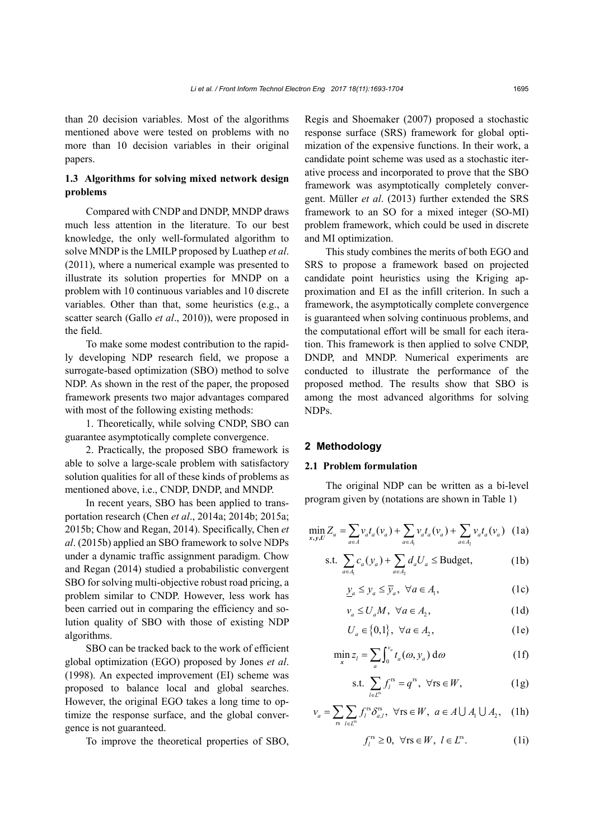than 20 decision variables. Most of the algorithms mentioned above were tested on problems with no more than 10 decision variables in their original papers.

# **1.3 Algorithms for solving mixed network design problems**

Compared with CNDP and DNDP, MNDP draws much less attention in the literature. To our best knowledge, the only well-formulated algorithm to solve MNDP is the LMILP proposed by Luathep *et al*. (2011), where a numerical example was presented to illustrate its solution properties for MNDP on a problem with 10 continuous variables and 10 discrete variables. Other than that, some heuristics (e.g., a scatter search (Gallo *et al*., 2010)), were proposed in the field.

To make some modest contribution to the rapidly developing NDP research field, we propose a surrogate-based optimization (SBO) method to solve NDP. As shown in the rest of the paper, the proposed framework presents two major advantages compared with most of the following existing methods:

1. Theoretically, while solving CNDP, SBO can guarantee asymptotically complete convergence.

2. Practically, the proposed SBO framework is able to solve a large-scale problem with satisfactory solution qualities for all of these kinds of problems as mentioned above, i.e., CNDP, DNDP, and MNDP.

In recent years, SBO has been applied to transportation research (Chen *et al*., 2014a; 2014b; 2015a; 2015b; Chow and Regan, 2014). Specifically, Chen *et al*. (2015b) applied an SBO framework to solve NDPs under a dynamic traffic assignment paradigm. Chow and Regan (2014) studied a probabilistic convergent SBO for solving multi-objective robust road pricing, a problem similar to CNDP. However, less work has been carried out in comparing the efficiency and solution quality of SBO with those of existing NDP algorithms.

SBO can be tracked back to the work of efficient global optimization (EGO) proposed by Jones *et al*. (1998). An expected improvement (EI) scheme was proposed to balance local and global searches. However, the original EGO takes a long time to optimize the response surface, and the global convergence is not guaranteed.

To improve the theoretical properties of SBO,

Regis and Shoemaker (2007) proposed a stochastic response surface (SRS) framework for global optimization of the expensive functions. In their work, a candidate point scheme was used as a stochastic iterative process and incorporated to prove that the SBO framework was asymptotically completely convergent. Müller *et al*. (2013) further extended the SRS framework to an SO for a mixed integer (SO-MI) problem framework, which could be used in discrete and MI optimization.

This study combines the merits of both EGO and SRS to propose a framework based on projected candidate point heuristics using the Kriging approximation and EI as the infill criterion. In such a framework, the asymptotically complete convergence is guaranteed when solving continuous problems, and the computational effort will be small for each iteration. This framework is then applied to solve CNDP, DNDP, and MNDP. Numerical experiments are conducted to illustrate the performance of the proposed method. The results show that SBO is among the most advanced algorithms for solving NDPs.

## **2 Methodology**

#### **2.1 Problem formulation**

The original NDP can be written as a bi-level program given by (notations are shown in Table 1)

$$
\min_{x,y,U} Z_u = \sum_{a \in A} v_a t_a(v_a) + \sum_{a \in A_1} v_a t_a(v_a) + \sum_{a \in A_2} v_a t_a(v_a)
$$
 (1a)

$$
\text{s.t. } \sum_{a \in A_1} c_a(y_a) + \sum_{a \in A_2} d_a U_a \le \text{Budget}, \tag{1b}
$$

$$
y_a \le y_a \le \overline{y}_a, \ \forall a \in A_1,\tag{1c}
$$

$$
v_a \le U_a M, \ \forall a \in A_2,\tag{1d}
$$

$$
U_a \in \{0,1\}, \ \forall a \in A_2,\tag{1e}
$$

$$
\min_{x} z_{i} = \sum_{a} \int_{0}^{v_{a}} t_{a}(\omega, y_{a}) d\omega
$$
 (1f)

$$
\text{s.t. } \sum_{l \in L^{\text{rs}}} f_l^{\text{rs}} = q^{\text{rs}}, \ \forall \text{rs} \in W, \tag{1g}
$$

$$
\mathbf{v}_a = \sum_{\text{rs}} \sum_{l \in L^{\text{ss}}} f_l^{\text{rs}} \delta_{a,l}^{\text{rs}}, \ \ \forall \text{rs} \in W, \ a \in A \cup A_1 \cup A_2, \quad \text{(1h)}
$$

$$
f_l^{rs} \ge 0, \ \forall rs \in W, \ l \in L^{rs}.
$$
 (1i)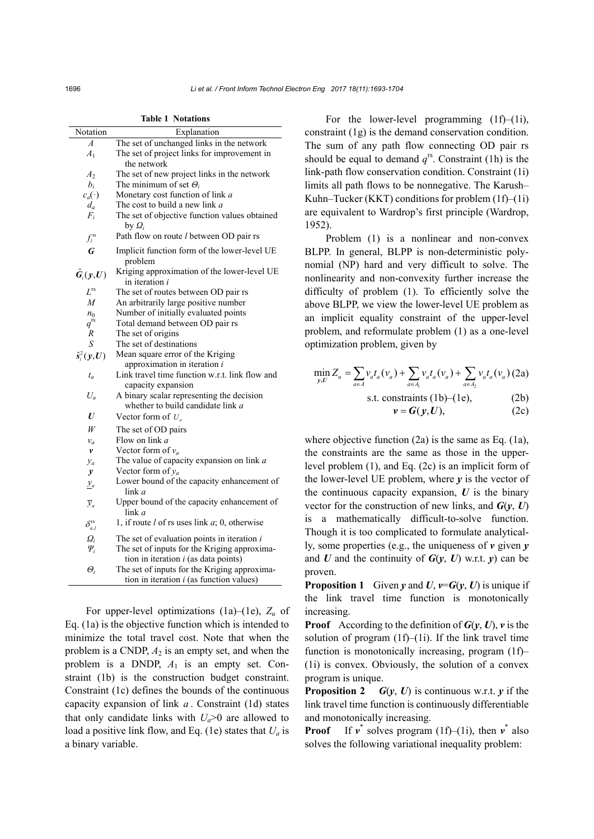**Table 1 Notations**

| Notation                       | Explanation                                             |
|--------------------------------|---------------------------------------------------------|
| $\overline{A}$                 | The set of unchanged links in the network               |
| A <sub>1</sub>                 | The set of project links for improvement in             |
|                                | the network                                             |
| A <sub>2</sub>                 | The set of new project links in the network             |
| $b_i$                          | The minimum of set $\Theta_i$                           |
| $c_a(\cdot)$                   | Monetary cost function of link a                        |
| $d_a$                          | The cost to build a new link a                          |
| $F_i$                          | The set of objective function values obtained           |
|                                | by $Q_i$                                                |
| $f_l^{\rm rs}$                 | Path flow on route <i>l</i> between OD pair rs          |
| G                              |                                                         |
|                                | Implicit function form of the lower-level UE<br>problem |
|                                | Kriging approximation of the lower-level UE             |
| $\hat{G}_i(y,U)$               | in iteration i                                          |
| $L^{\rm rs}$                   | The set of routes between OD pair rs                    |
| M                              | An arbitrarily large positive number                    |
|                                | Number of initially evaluated points                    |
| n <sub>0</sub><br>$q^{\rm rs}$ | Total demand between OD pair rs                         |
| R                              | The set of origins                                      |
| S                              | The set of destinations                                 |
|                                | Mean square error of the Kriging                        |
| $\hat{s}^2_i(y,U)$             | approximation in iteration i                            |
| $t_a$                          | Link travel time function w.r.t. link flow and          |
|                                | capacity expansion                                      |
| $U_a$                          | A binary scalar representing the decision               |
|                                | whether to build candidate link a                       |
| U                              | Vector form of $U_a$                                    |
|                                |                                                         |
| W                              | The set of OD pairs                                     |
| $v_a$                          | Flow on link a                                          |
| v                              | Vector form of $v_a$                                    |
| $y_a$                          | The value of capacity expansion on link a               |
| $\mathcal{Y}$                  | Vector form of $y_a$                                    |
| $\frac{y_a}{}$                 | Lower bound of the capacity enhancement of<br>link a    |
| $\overline{y}_a$               | Upper bound of the capacity enhancement of<br>link a    |
|                                | 1, if route $l$ of rs uses link $a$ ; 0, otherwise      |
| $\delta_{a,l}^{rs}$            |                                                         |
| $Q_i$                          | The set of evaluation points in iteration $i$           |
| $\Psi_i$                       | The set of inputs for the Kriging approxima-            |
|                                | tion in iteration $i$ (as data points)                  |
| $\Theta_i$                     | The set of inputs for the Kriging approxima-            |
|                                | tion in iteration $i$ (as function values)              |

For upper-level optimizations (1a)–(1e), *Zu* of Eq. (1a) is the objective function which is intended to minimize the total travel cost. Note that when the problem is a CNDP,  $A_2$  is an empty set, and when the problem is a DNDP, *A*<sup>1</sup> is an empty set. Constraint (1b) is the construction budget constraint. Constraint (1c) defines the bounds of the continuous capacity expansion of link *a* . Constraint (1d) states that only candidate links with  $U_a > 0$  are allowed to load a positive link flow, and Eq. (1e) states that *Ua* is a binary variable.

For the lower-level programming  $(1f)$ – $(1i)$ , constraint (1g) is the demand conservation condition. The sum of any path flow connecting OD pair rs should be equal to demand  $q^{rs}$ . Constraint (1h) is the link-path flow conservation condition. Constraint (1i) limits all path flows to be nonnegative. The Karush– Kuhn–Tucker (KKT) conditions for problem  $(1f)$ – $(1i)$ are equivalent to Wardrop's first principle (Wardrop, 1952).

Problem (1) is a nonlinear and non-convex BLPP. In general, BLPP is non-deterministic polynomial (NP) hard and very difficult to solve. The nonlinearity and non-convexity further increase the difficulty of problem (1). To efficiently solve the above BLPP, we view the lower-level UE problem as an implicit equality constraint of the upper-level problem, and reformulate problem (1) as a one-level optimization problem, given by

$$
\min_{y,U} Z_u = \sum_{a \in A} v_a t_a(v_a) + \sum_{a \in A_1} v_a t_a(v_a) + \sum_{a \in A_2} v_a t_a(v_a)
$$
 (2a)  
s.t. constraints (1b)–(1e), (2b)

 $v = G(v, U)$ , (2c)

where objective function (2a) is the same as Eq. (1a), the constraints are the same as those in the upperlevel problem (1), and Eq. (2c) is an implicit form of the lower-level UE problem, where  $y$  is the vector of the continuous capacity expansion,  $U$  is the binary vector for the construction of new links, and  $G(y, U)$ is a mathematically difficult-to-solve function. Though it is too complicated to formulate analytically, some properties (e.g., the uniqueness of *v* given *y* and *U* and the continuity of  $G(y, U)$  w.r.t.  $y$ ) can be proven.

**Proposition 1** Given *y* and *U*,  $v = G(y, U)$  is unique if the link travel time function is monotonically increasing.

**Proof** According to the definition of  $G(y, U)$ , *v* is the solution of program  $(1f)$ – $(1i)$ . If the link travel time function is monotonically increasing, program (1f)– (1i) is convex. Obviously, the solution of a convex program is unique.

**Proposition 2** *G(y, U)* is continuous w.r.t. *y* if the link travel time function is continuously differentiable and monotonically increasing.

**Proof** \* solves program  $(1f)$ – $(1i)$ , then  $v^*$  also solves the following variational inequality problem: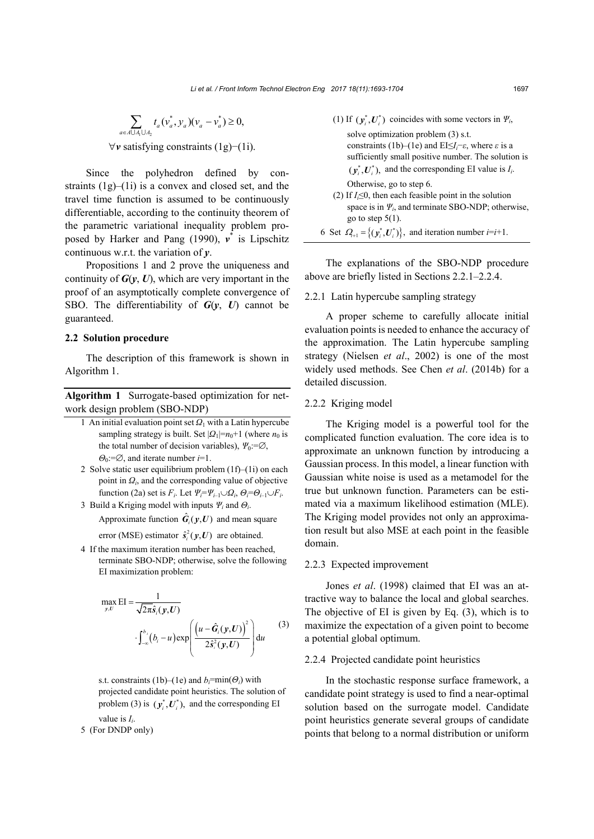$$
\sum_{a \in A \cup A_1 \cup A_2} t_a(v_a^*, y_a)(v_a - v_a^*) \ge 0,
$$
  
  $\forall v$  satisfying constraints (1g)–(1i).

Since the polyhedron defined by constraints  $(1g)$ – $(1i)$  is a convex and closed set, and the travel time function is assumed to be continuously differentiable, according to the continuity theorem of the parametric variational inequality problem proposed by Harker and Pang (1990), *v* \* is Lipschitz continuous w.r.t. the variation of *y*.

Propositions 1 and 2 prove the uniqueness and continuity of  $G(y, U)$ , which are very important in the proof of an asymptotically complete convergence of SBO. The differentiability of  $G(y, U)$  cannot be guaranteed.

#### **2.2 Solution procedure**

The description of this framework is shown in Algorithm 1.

**Algorithm 1** Surrogate-based optimization for network design problem (SBO-NDP)

- 1 An initial evaluation point set *Ω*<sup>1</sup> with a Latin hypercube sampling strategy is built. Set  $|Q_1|=n_0+1$  (where  $n_0$  is the total number of decision variables), *Ψ*0:=∅, *Θ*<sub>0</sub>:=∅, and iterate number *i*=1.
- 2 Solve static user equilibrium problem (1f)–(1i) on each point in  $Q_i$ , and the corresponding value of objective function (2a) set is  $F_i$ . Let  $\Psi_i = \Psi_{i-1} \cup \Omega_i$ ,  $\Theta_i = \Theta_{i-1} \cup F_i$ .
- 3 Build a Kriging model with inputs *Ψ<sup>i</sup>* and *Θi*. Approximate function  $\hat{G}$  ( $v, U$ ) and mean square error (MSE) estimator  $\hat{s}_i^2(y, U)$  are obtained.
- 4 If the maximum iteration number has been reached, terminate SBO-NDP; otherwise, solve the following EI maximization problem:

$$
\max_{y,U} EI = \frac{1}{\sqrt{2\pi}\hat{s}_i(y,U)}
$$

$$
\cdot \int_{-\infty}^{b_i} (b_i - u) \exp\left(\frac{\left(u - \hat{G}_i(y,U)\right)^2}{2\hat{s}_i^2(y,U)}\right) du
$$
(3)

s.t. constraints (1b)–(1e) and  $b = min(\Theta_i)$  with projected candidate point heuristics. The solution of problem (3) is  $(\vec{v}, \vec{U})$ , and the corresponding EI value is *Ii*.

5 (For DNDP only)

- (1) If  $(\mathbf{y}_i^*, \mathbf{U}_i^*)$  coincides with some vectors in  $\Psi_i$ , solve optimization problem (3) s.t. constraints (1b)–(1e) and EI≤ $I<sub>i</sub>$ – $\varepsilon$ , where  $\varepsilon$  is a sufficiently small positive number. The solution is  $(\mathbf{y}_i^*, \mathbf{U}_i^*)$ , and the corresponding EI value is  $I_i$ . Otherwise, go to step 6. (2) If  $I_i \leq 0$ , then each feasible point in the solution space is in *Ψi*, and terminate SBO-NDP; otherwise,
- go to step  $5(1)$ . 6 Set  $Q_{i+1} = \{(y_i^*, U_i^*)\}$ , and iteration number *i*=*i*+1.

The explanations of the SBO-NDP procedure above are briefly listed in Sections 2.2.1–2.2.4.

#### 2.2.1 Latin hypercube sampling strategy

A proper scheme to carefully allocate initial evaluation points is needed to enhance the accuracy of the approximation. The Latin hypercube sampling strategy (Nielsen *et al*., 2002) is one of the most widely used methods. See Chen *et al*. (2014b) for a detailed discussion.

# 2.2.2 Kriging model

The Kriging model is a powerful tool for the complicated function evaluation. The core idea is to approximate an unknown function by introducing a Gaussian process. In this model, a linear function with Gaussian white noise is used as a metamodel for the true but unknown function. Parameters can be estimated via a maximum likelihood estimation (MLE). The Kriging model provides not only an approximation result but also MSE at each point in the feasible domain.

#### 2.2.3 Expected improvement

Jones *et al*. (1998) claimed that EI was an attractive way to balance the local and global searches. The objective of EI is given by Eq. (3), which is to maximize the expectation of a given point to become a potential global optimum.

## 2.2.4 Projected candidate point heuristics

In the stochastic response surface framework, a candidate point strategy is used to find a near-optimal solution based on the surrogate model. Candidate point heuristics generate several groups of candidate points that belong to a normal distribution or uniform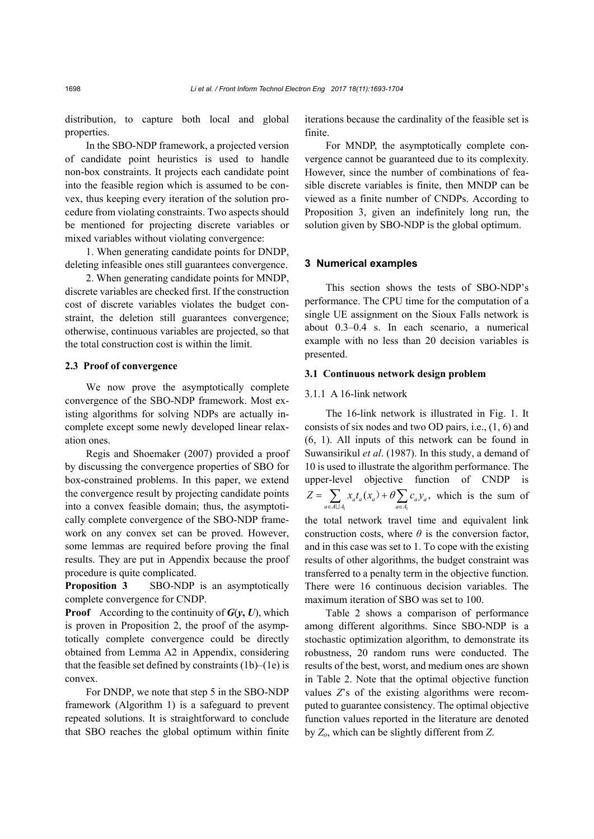distribution, to capture both local and global properties.

In the SBO-NDP framework, a projected version of candidate point heuristics is used to handle non-box constraints. It projects each candidate point into the feasible region which is assumed to be convex, thus keeping every iteration of the solution procedure from violating constraints. Two aspects should be mentioned for projecting discrete variables or mixed variables without violating convergence:

1. When generating candidate points for DNDP, deleting infeasible ones still guarantees convergence.

2. When generating candidate points for MNDP, discrete variables are checked first. If the construction cost of discrete variables violates the budget constraint, the deletion still guarantees convergence; otherwise, continuous variables are projected, so that the total construction cost is within the limit.

#### **2.3 Proof of convergence**

We now prove the asymptotically complete convergence of the SBO-NDP framework. Most existing algorithms for solving NDPs are actually incomplete except some newly developed linear relaxation ones.

Regis and Shoemaker (2007) provided a proof by discussing the convergence properties of SBO for box-constrained problems. In this paper, we extend the convergence result by projecting candidate points into a convex feasible domain; thus, the asymptotically complete convergence of the SBO-NDP framework on any convex set can be proved. However, some lemmas are required before proving the final results. They are put in Appendix because the proof procedure is quite complicated.

**Proposition 3** SBO-NDP is an asymptotically complete convergence for CNDP.

**Proof** According to the continuity of  $G(y, U)$ , which is proven in Proposition 2, the proof of the asymptotically complete convergence could be directly obtained from Lemma A2 in Appendix, considering that the feasible set defined by constraints  $(1b)$ – $(1e)$  is convex.

For DNDP, we note that step 5 in the SBO-NDP framework (Algorithm 1) is a safeguard to prevent repeated solutions. It is straightforward to conclude that SBO reaches the global optimum within finite iterations because the cardinality of the feasible set is finite.

For MNDP, the asymptotically complete convergence cannot be guaranteed due to its complexity. However, since the number of combinations of feasible discrete variables is finite, then MNDP can be viewed as a finite number of CNDPs. According to Proposition 3, given an indefinitely long run, the solution given by SBO-NDP is the global optimum.

## **3 Numerical examples**

This section shows the tests of SBO-NDP's performance. The CPU time for the computation of a single UE assignment on the Sioux Falls network is about 0.3–0.4 s. In each scenario, a numerical example with no less than 20 decision variables is presented.

#### **3.1 Continuous network design problem**

#### 3.1.1 A 16-link network

The 16-link network is illustrated in Fig. 1. It consists of six nodes and two OD pairs, i.e., (1, 6) and (6, 1). All inputs of this network can be found in Suwansirikul *et al*. (1987). In this study, a demand of 10 is used to illustrate the algorithm performance. The upper-level objective function of CNDP is  $u \in A_1$  $\sum_{a\in A\cup A_1} x_a t_a(x_a) + \theta \sum_{a\in A_1} c_a y_a,$  $Z = \sum_{a} x_a t_a(x_a) + \theta \sum_{a} c_a y_a$  $=\sum_{a\in A\cup A_1}x_a t_a(x_a)+\theta\sum_{a\in A_1}$  $(x) + \theta \sum c_a y_a$ , which is the sum of

the total network travel time and equivalent link construction costs, where  $\theta$  is the conversion factor, and in this case was set to 1. To cope with the existing results of other algorithms, the budget constraint was transferred to a penalty term in the objective function. There were 16 continuous decision variables. The maximum iteration of SBO was set to 100.

Table 2 shows a comparison of performance among different algorithms. Since SBO-NDP is a stochastic optimization algorithm, to demonstrate its robustness, 20 random runs were conducted. The results of the best, worst, and medium ones are shown in Table 2. Note that the optimal objective function values *Z*'s of the existing algorithms were recomputed to guarantee consistency. The optimal objective function values reported in the literature are denoted by *Zo*, which can be slightly different from *Z*.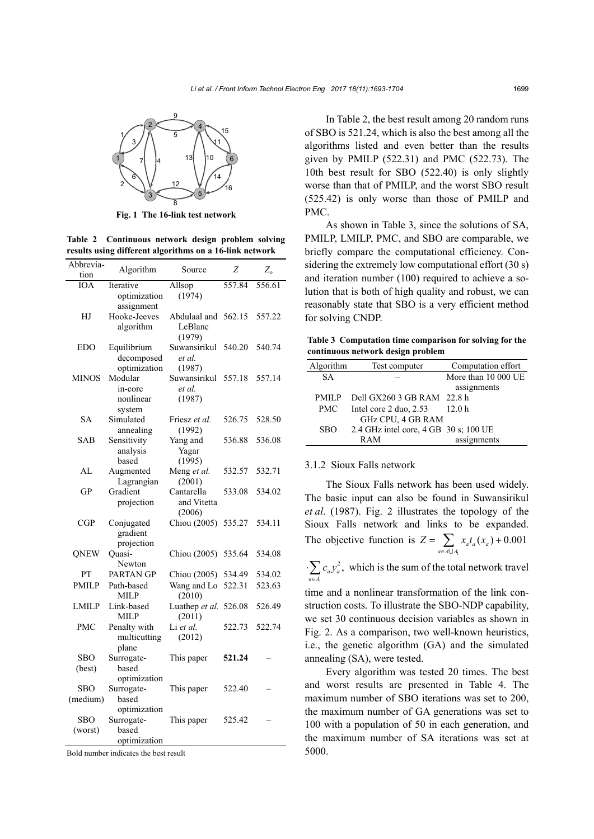

**Fig. 1 The 16-link test network**

**Table 2 Continuous network design problem solving results using different algorithms on a 16-link network**

 $A1.1...$ 

| AUULCYIA-<br>tion      | Algorithm                                 | Source                                   | Z      | $Z_{\scriptscriptstyle{\alpha}}$ |
|------------------------|-------------------------------------------|------------------------------------------|--------|----------------------------------|
| IOA                    | Iterative<br>optimization<br>assignment   | Allsop<br>(1974)                         | 557.84 | 556.61                           |
| HJ                     | Hooke-Jeeves<br>algorithm                 | Abdulaal and 562.15<br>LeBlanc<br>(1979) |        | 557.22                           |
| <b>EDO</b>             | Equilibrium<br>decomposed<br>optimization | Suwansirikul<br>et al.<br>(1987)         | 540.20 | 540.74                           |
| <b>MINOS</b>           | Modular<br>in-core<br>nonlinear<br>system | Suwansirikul<br>et al.<br>(1987)         | 557.18 | 557.14                           |
| <b>SA</b>              | Simulated<br>annealing                    | Friesz et al.<br>(1992)                  | 526.75 | 528.50                           |
| <b>SAB</b>             | Sensitivity<br>analysis<br>based          | Yang and<br>Yagar<br>(1995)              | 536.88 | 536.08                           |
| AL                     | Augmented<br>Lagrangian                   | Meng et al.<br>(2001)                    | 532.57 | 532.71                           |
| GР                     | Gradient<br>projection                    | Cantarella<br>and Vitetta<br>(2006)      | 533.08 | 534.02                           |
| CGP                    | Conjugated<br>gradient<br>projection      | Chiou (2005)                             | 535.27 | 534.11                           |
| QNEW                   | Ouasi-<br>Newton                          | Chiou (2005)                             | 535.64 | 534.08                           |
| PT                     | PARTAN GP                                 | Chiou (2005)                             | 534.49 | 534.02                           |
| <b>PMILP</b>           | Path-based<br><b>MILP</b>                 | Wang and Lo<br>(2010)                    | 522.31 | 523.63                           |
| <b>LMILP</b>           | Link-based<br><b>MILP</b>                 | Luathep et al.<br>(2011)                 | 526.08 | 526.49                           |
| <b>PMC</b>             | Penalty with<br>multicutting<br>plane     | Li et al.<br>(2012)                      | 522.73 | 522.74                           |
| <b>SBO</b><br>(best)   | Surrogate-<br>based<br>optimization       | This paper                               | 521.24 |                                  |
| <b>SBO</b><br>(medium) | Surrogate-<br>based<br>optimization       | This paper                               | 522.40 |                                  |
| <b>SBO</b><br>(worst)  | Surrogate-<br>based<br>optimization       | This paper                               | 525.42 |                                  |

Bold number indicates the best result

In Table 2, the best result among 20 random runs of SBO is 521.24, which is also the best among all the algorithms listed and even better than the results given by PMILP (522.31) and PMC (522.73). The 10th best result for SBO (522.40) is only slightly worse than that of PMILP, and the worst SBO result (525.42) is only worse than those of PMILP and PMC.

As shown in Table 3, since the solutions of SA, PMILP, LMILP, PMC, and SBO are comparable, we briefly compare the computational efficiency. Considering the extremely low computational effort (30 s) and iteration number (100) required to achieve a solution that is both of high quality and robust, we can reasonably state that SBO is a very efficient method for solving CNDP.

**Table 3 Computation time comparison for solving for the continuous network design problem**

| Algorithm    | Test computer                         | Computation effort  |
|--------------|---------------------------------------|---------------------|
| <b>SA</b>    |                                       | More than 10 000 UE |
|              |                                       | assignments         |
| <b>PMILP</b> | Dell GX260 3 GB RAM 22.8 h            |                     |
| <b>PMC</b>   | Intel core $2 \text{ duo}, 2.53$      | 12.0 h              |
|              | <b>GHZ CPU, 4 GB RAM</b>              |                     |
| <b>SBO</b>   | 2.4 GHz intel core, 4 GB 30 s; 100 UE |                     |
|              | <b>RAM</b>                            | assignments         |

## 3.1.2 Sioux Falls network

The Sioux Falls network has been used widely. The basic input can also be found in Suwansirikul *et al*. (1987). Fig. 2 illustrates the topology of the Sioux Falls network and links to be expanded. The objective function is 1  $\sum_{a \in A \cup A_1} x_a t_a(x_a) + 0.001$  $Z = \sum x_a t_a(x)$  $=\sum_{a\in A\cup A_1}x_at_a(x_a)+$ 

1  $\sum_{a\in A_1} c_a y_a^2,$ *c y*  $\cdot \sum_{a \in A_1} c_a y_a^2$ , which is the sum of the total network travel

time and a nonlinear transformation of the link construction costs. To illustrate the SBO-NDP capability, we set 30 continuous decision variables as shown in Fig. 2. As a comparison, two well-known heuristics, i.e., the genetic algorithm (GA) and the simulated annealing (SA), were tested.

Every algorithm was tested 20 times. The best and worst results are presented in Table 4. The maximum number of SBO iterations was set to 200, the maximum number of GA generations was set to 100 with a population of 50 in each generation, and the maximum number of SA iterations was set at 5000.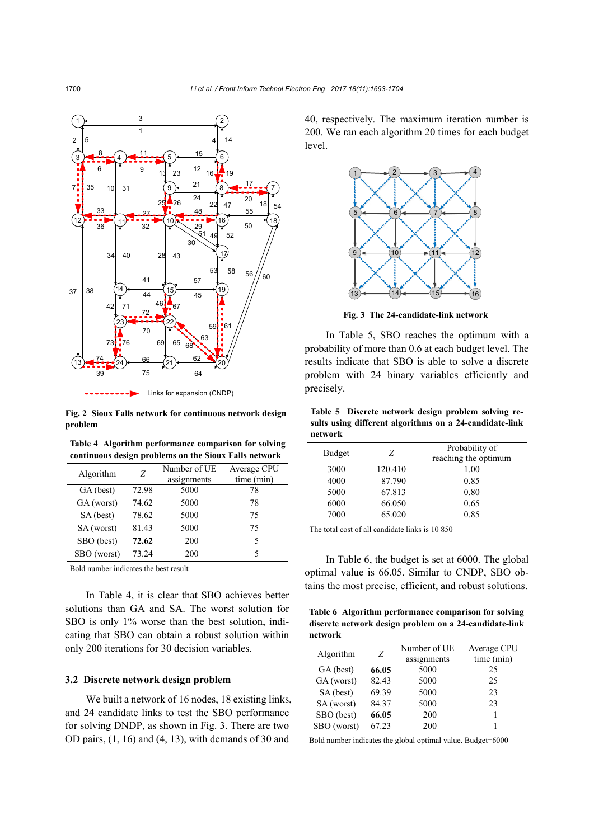

**Fig. 2 Sioux Falls network for continuous network design problem**

**Table 4 Algorithm performance comparison for solving continuous design problems on the Sioux Falls network** 

| Algorithm   | Z     | Number of UE | Average CPU |
|-------------|-------|--------------|-------------|
|             |       | assignments  | time (min)  |
| GA (best)   | 72.98 | 5000         | 78          |
| GA (worst)  | 74.62 | 5000         | 78          |
| SA (best)   | 78.62 | 5000         | 75          |
| SA (worst)  | 81.43 | 5000         | 75          |
| SBO (best)  | 72.62 | 200          | 5           |
| SBO (worst) | 73 24 | 200          | 5           |

Bold number indicates the best result

In Table 4, it is clear that SBO achieves better solutions than GA and SA. The worst solution for SBO is only 1% worse than the best solution, indicating that SBO can obtain a robust solution within only 200 iterations for 30 decision variables.

#### **3.2 Discrete network design problem**

We built a network of 16 nodes, 18 existing links, and 24 candidate links to test the SBO performance for solving DNDP, as shown in Fig. 3. There are two OD pairs, (1, 16) and (4, 13), with demands of 30 and

40, respectively. The maximum iteration number is 200. We ran each algorithm 20 times for each budget level.



**Fig. 3 The 24-candidate-link network**

In Table 5, SBO reaches the optimum with a probability of more than 0.6 at each budget level. The results indicate that SBO is able to solve a discrete problem with 24 binary variables efficiently and precisely.

**Table 5 Discrete network design problem solving results using different algorithms on a 24-candidate-link network**

| Budget | Ζ       | Probability of<br>reaching the optimum |
|--------|---------|----------------------------------------|
| 3000   | 120.410 | 1.00                                   |
| 4000   | 87.790  | 0.85                                   |
| 5000   | 67.813  | 0.80                                   |
| 6000   | 66.050  | 0.65                                   |
| 7000   | 65.020  | 0.85                                   |

The total cost of all candidate links is 10 850

In Table 6, the budget is set at 6000. The global optimal value is 66.05. Similar to CNDP, SBO obtains the most precise, efficient, and robust solutions.

**Table 6 Algorithm performance comparison for solving discrete network design problem on a 24-candidate-link network** 

| Algorithm   | Z     | Number of UE<br>assignments | Average CPU<br>time (min) |
|-------------|-------|-----------------------------|---------------------------|
| GA (best)   | 66.05 | 5000                        | 25                        |
| GA (worst)  | 82.43 | 5000                        | 25                        |
| SA (best)   | 69.39 | 5000                        | 23                        |
| SA (worst)  | 84.37 | 5000                        | 23                        |
| SBO (best)  | 66.05 | 200                         |                           |
| SBO (worst) | 67 23 | 200                         |                           |

Bold number indicates the global optimal value. Budget=6000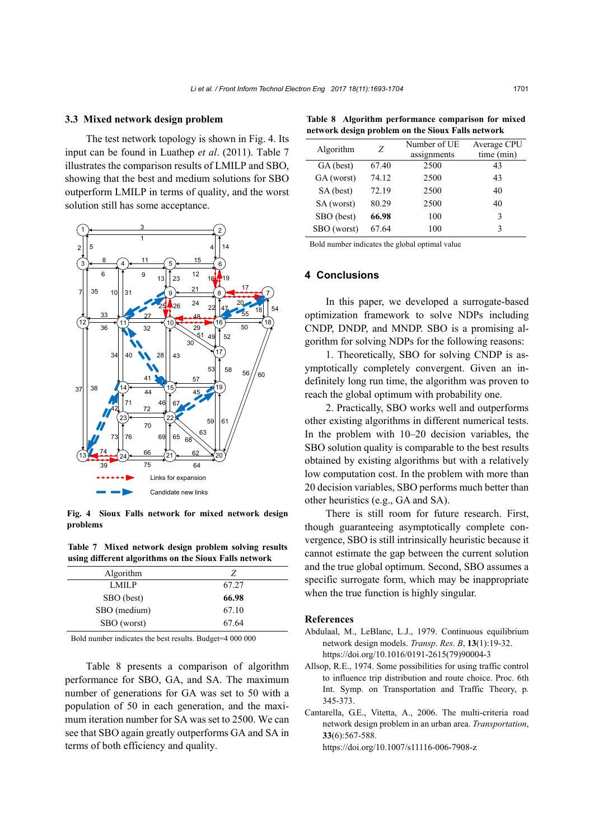#### **3.3 Mixed network design problem**

The test network topology is shown in Fig. 4. Its input can be found in Luathep *et al*. (2011). Table 7 illustrates the comparison results of LMILP and SBO, showing that the best and medium solutions for SBO outperform LMILP in terms of quality, and the worst solution still has some acceptance.



**Fig. 4 Sioux Falls network for mixed network design problems**

**Table 7 Mixed network design problem solving results using different algorithms on the Sioux Falls network**

| Algorithm    |       |
|--------------|-------|
| <b>LMILP</b> | 67.27 |
| SBO (best)   | 66.98 |
| SBO (medium) | 67.10 |
| SBO (worst)  | 67.64 |

Bold number indicates the best results. Budget=4 000 000

Table 8 presents a comparison of algorithm performance for SBO, GA, and SA. The maximum number of generations for GA was set to 50 with a population of 50 in each generation, and the maximum iteration number for SA was set to 2500. We can see that SBO again greatly outperforms GA and SA in terms of both efficiency and quality.

**Table 8 Algorithm performance comparison for mixed network design problem on the Sioux Falls network**

| Z     | Number of UE | Average CPU |
|-------|--------------|-------------|
|       |              | time (min)  |
| 67.40 | 2500         | 43          |
| 74.12 | 2500         | 43          |
| 72.19 | 2500         | 40          |
| 80.29 | 2500         | 40          |
| 66.98 | 100          | 3           |
| 67.64 | 100          | 3           |
|       |              | assignments |

Bold number indicates the global optimal value

# **4 Conclusions**

In this paper, we developed a surrogate-based optimization framework to solve NDPs including CNDP, DNDP, and MNDP. SBO is a promising algorithm for solving NDPs for the following reasons:

1. Theoretically, SBO for solving CNDP is asymptotically completely convergent. Given an indefinitely long run time, the algorithm was proven to reach the global optimum with probability one.

2. Practically, SBO works well and outperforms other existing algorithms in different numerical tests. In the problem with 10–20 decision variables, the SBO solution quality is comparable to the best results obtained by existing algorithms but with a relatively low computation cost. In the problem with more than 20 decision variables, SBO performs much better than other heuristics (e.g., GA and SA).

There is still room for future research. First, though guaranteeing asymptotically complete convergence, SBO is still intrinsically heuristic because it cannot estimate the gap between the current solution and the true global optimum. Second, SBO assumes a specific surrogate form, which may be inappropriate when the true function is highly singular.

## **References**

- Abdulaal, M., LeBlanc, L.J., 1979. Continuous equilibrium network design models. *Transp*. *Res*. *B*, **13**(1):19-32. https://doi.org/10.1016/0191-2615(79)90004-3
- Allsop, R.E., 1974. Some possibilities for using traffic control to influence trip distribution and route choice. Proc. 6th Int. Symp. on Transportation and Traffic Theory, p. 345-373.
- Cantarella, G.E., Vitetta, A., 2006. The multi-criteria road network design problem in an urban area. *Transportation*, **33**(6):567-588.

https://doi.org/10.1007/s11116-006-7908-z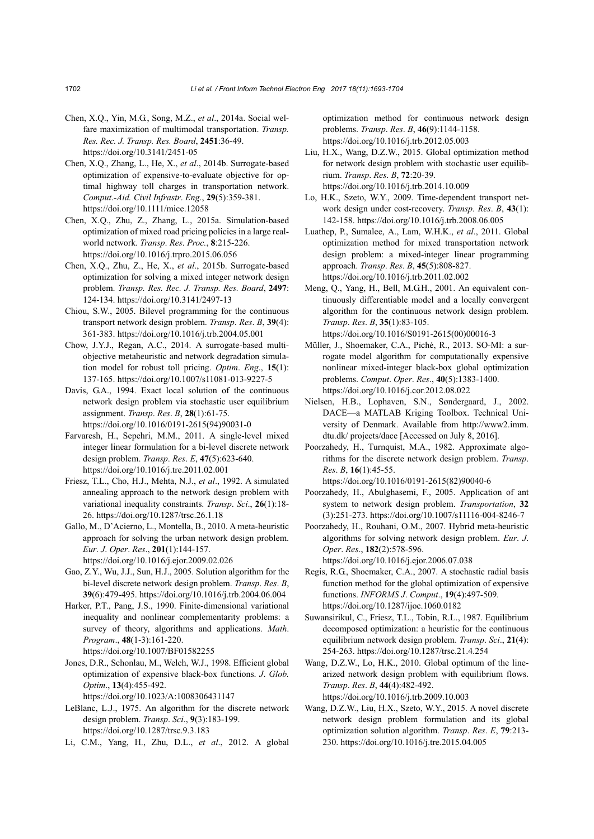- Chen, X.Q., Yin, M.G., Song, M.Z., *et al*., 2014a. Social welfare maximization of multimodal transportation. *Transp. Res. Rec. J. Transp. Res. Board*, **2451**:36-49. https://doi.org/10.3141/2451-05
- Chen, X.Q., Zhang, L., He, X., *et al*., 2014b. Surrogate-based optimization of expensive-to-evaluate objective for optimal highway toll charges in transportation network. *Comput*.*-Aid. Civil Infrastr*. *Eng*., **29**(5):359-381. https://doi.org/10.1111/mice.12058
- Chen, X.Q., Zhu, Z., Zhang, L., 2015a. Simulation-based optimization of mixed road pricing policies in a large realworld network. *Transp*. *Res*. *Proc.*, **8**:215-226. https://doi.org/10.1016/j.trpro.2015.06.056
- Chen, X.Q., Zhu, Z., He, X., *et al*., 2015b. Surrogate-based optimization for solving a mixed integer network design problem. *Transp. Res. Rec. J. Transp. Res. Board*, **2497**: 124-134. https://doi.org/10.3141/2497-13
- Chiou, S.W., 2005. Bilevel programming for the continuous transport network design problem. *Transp*. *Res*. *B*, **39**(4): 361-383. https://doi.org/10.1016/j.trb.2004.05.001
- Chow, J.Y.J., Regan, A.C., 2014. A surrogate-based multiobjective metaheuristic and network degradation simulation model for robust toll pricing. *Optim*. *Eng*., **15**(1): 137-165. https://doi.org/10.1007/s11081-013-9227-5
- Davis, G.A., 1994. Exact local solution of the continuous network design problem via stochastic user equilibrium assignment. *Transp*. *Res*. *B*, **28**(1):61-75. https://doi.org/10.1016/0191-2615(94)90031-0
- Farvaresh, H., Sepehri, M.M., 2011. A single-level mixed integer linear formulation for a bi-level discrete network design problem. *Transp*. *Res*. *E*, **47**(5):623-640. https://doi.org/10.1016/j.tre.2011.02.001
- Friesz, T.L., Cho, H.J., Mehta, N.J., *et al*., 1992. A simulated annealing approach to the network design problem with variational inequality constraints. *Transp*. *Sci*., **26**(1):18- 26. https://doi.org/10.1287/trsc.26.1.18
- Gallo, M., D'Acierno, L., Montella, B., 2010. A meta-heuristic approach for solving the urban network design problem. *Eur*. *J*. *Oper*. *Res*., **201**(1):144-157. https://doi.org/10.1016/j.ejor.2009.02.026
- Gao, Z.Y., Wu, J.J., Sun, H.J., 2005. Solution algorithm for the bi-level discrete network design problem. *Transp*. *Res*. *B*, **39**(6):479-495. https://doi.org/10.1016/j.trb.2004.06.004
- Harker, P.T., Pang, J.S., 1990. Finite-dimensional variational inequality and nonlinear complementarity problems: a survey of theory, algorithms and applications. *Math*. *Program*., **48**(1-3):161-220. https://doi.org/10.1007/BF01582255
- Jones, D.R., Schonlau, M., Welch, W.J., 1998. Efficient global optimization of expensive black-box functions. *J*. *Glob. Optim*., **13**(4):455-492.

https://doi.org/10.1023/A:1008306431147

- LeBlanc, L.J., 1975. An algorithm for the discrete network design problem. *Transp*. *Sci*., **9**(3):183-199. https://doi.org/10.1287/trsc.9.3.183
- Li, C.M., Yang, H., Zhu, D.L., *et al*., 2012. A global

optimization method for continuous network design problems. *Transp*. *Res*. *B*, **46**(9):1144-1158. https://doi.org/10.1016/j.trb.2012.05.003

- Liu, H.X., Wang, D.Z.W., 2015. Global optimization method for network design problem with stochastic user equilibrium. *Transp*. *Res*. *B*, **72**:20-39. https://doi.org/10.1016/j.trb.2014.10.009
- Lo, H.K., Szeto, W.Y., 2009. Time-dependent transport network design under cost-recovery. *Transp*. *Res*. *B*, **43**(1): 142-158. https://doi.org/10.1016/j.trb.2008.06.005
- Luathep, P., Sumalee, A., Lam, W.H.K., *et al*., 2011. Global optimization method for mixed transportation network design problem: a mixed-integer linear programming approach. *Transp*. *Res*. *B*, **45**(5):808-827. https://doi.org/10.1016/j.trb.2011.02.002
- Meng, Q., Yang, H., Bell, M.G.H., 2001. An equivalent continuously differentiable model and a locally convergent algorithm for the continuous network design problem. *Transp*. *Res*. *B*, **35**(1):83-105. https://doi.org/10.1016/S0191-2615(00)00016-3
- Müller, J., Shoemaker, C.A., Piché, R., 2013. SO-MI: a surrogate model algorithm for computationally expensive nonlinear mixed-integer black-box global optimization problems. *Comput*. *Oper*. *Res*., **40**(5):1383-1400. https://doi.org/10.1016/j.cor.2012.08.022
- Nielsen, H.B., Lophaven, S.N., Søndergaard, J., 2002. DACE—a MATLAB Kriging Toolbox. Technical University of Denmark. Available from http://www2.imm. dtu.dk/ projects/dace [Accessed on July 8, 2016].
- Poorzahedy, H., Turnquist, M.A., 1982. Approximate algorithms for the discrete network design problem. *Transp*. *Res*. *B*, **16**(1):45-55.
	- https://doi.org/10.1016/0191-2615(82)90040-6
- Poorzahedy, H., Abulghasemi, F., 2005. Application of ant system to network design problem. *Transportation*, **32** (3):251-273. https://doi.org/10.1007/s11116-004-8246-7
- Poorzahedy, H., Rouhani, O.M., 2007. Hybrid meta-heuristic algorithms for solving network design problem. *Eur*. *J*. *Oper*. *Res*., **182**(2):578-596. https://doi.org/10.1016/j.ejor.2006.07.038
- Regis, R.G., Shoemaker, C.A., 2007. A stochastic radial basis function method for the global optimization of expensive functions. *INFORMS J*. *Comput*., **19**(4):497-509. https://doi.org/10.1287/ijoc.1060.0182
- Suwansirikul, C., Friesz, T.L., Tobin, R.L., 1987. Equilibrium decomposed optimization: a heuristic for the continuous equilibrium network design problem. *Transp*. *Sci*., **21**(4): 254-263. https://doi.org/10.1287/trsc.21.4.254
- Wang, D.Z.W., Lo, H.K., 2010. Global optimum of the linearized network design problem with equilibrium flows. *Transp*. *Res*. *B*, **44**(4):482-492. https://doi.org/10.1016/j.trb.2009.10.003
- Wang, D.Z.W., Liu, H.X., Szeto, W.Y., 2015. A novel discrete network design problem formulation and its global optimization solution algorithm. *Transp*. *Res*. *E*, **79**:213- 230. https://doi.org/10.1016/j.tre.2015.04.005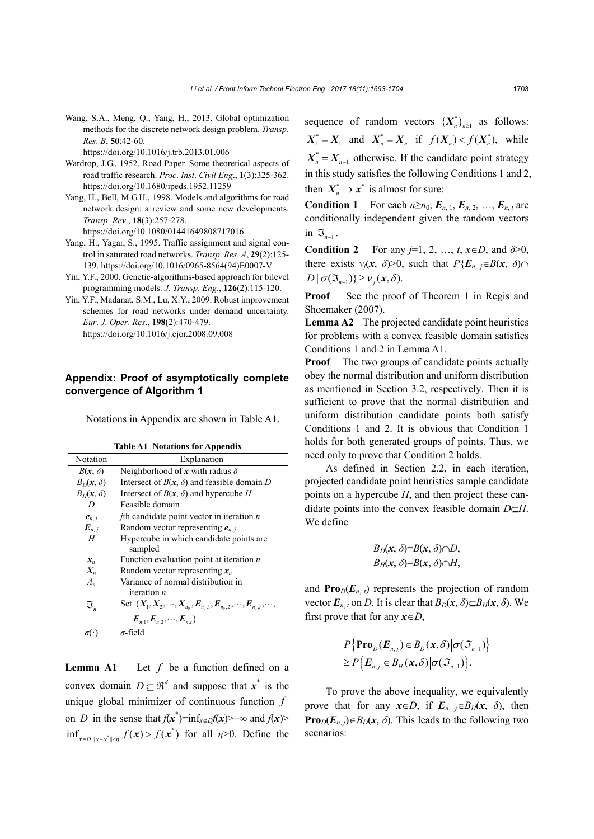Wang, S.A., Meng, Q., Yang, H., 2013. Global optimization methods for the discrete network design problem. *Transp*. *Res*. *B*, **50**:42-60.

https://doi.org/10.1016/j.trb.2013.01.006

- Wardrop, J.G., 1952. Road Paper. Some theoretical aspects of road traffic research. *Proc*. *Inst*. *Civil Eng*., **1**(3):325-362. https://doi.org/10.1680/ipeds.1952.11259
- Yang, H., Bell, M.G.H., 1998. Models and algorithms for road network design: a review and some new developments. *Transp*. *Rev*., **18**(3):257-278. https://doi.org/10.1080/01441649808717016
- Yang, H., Yagar, S., 1995. Traffic assignment and signal control in saturated road networks. *Transp*. *Res*. *A*, **29**(2):125- 139. https://doi.org/10.1016/0965-8564(94)E0007-V
- Yin, Y.F., 2000. Genetic-algorithms-based approach for bilevel programming models. *J*. *Transp*. *Eng*., **126**(2):115-120.
- Yin, Y.F., Madanat, S.M., Lu, X.Y., 2009. Robust improvement schemes for road networks under demand uncertainty. *Eur*. *J*. *Oper*. *Res*., **198**(2):470-479. https://doi.org/10.1016/j.ejor.2008.09.008

# **Appendix: Proof of asymptotically complete convergence of Algorithm 1**

Notations in Appendix are shown in Table A1.

|  | <b>Table A1 Notations for Appendix</b> |  |  |
|--|----------------------------------------|--|--|
|--|----------------------------------------|--|--|

| Notation           | Explanation                                                                         |
|--------------------|-------------------------------------------------------------------------------------|
| $B(x, \delta)$     | Neighborhood of x with radius $\delta$                                              |
| $B_D(x, \delta)$   | Intersect of $B(x, \delta)$ and feasible domain D                                   |
| $B_H(x,\delta)$    | Intersect of $B(x, \delta)$ and hypercube H                                         |
| D                  | Feasible domain                                                                     |
| $e_{n,j}$          | <i>th</i> candidate point vector in iteration $n$                                   |
| $E_{n,i}$          | Random vector representing $e_{n,i}$                                                |
| H                  | Hypercube in which candidate points are<br>sampled                                  |
| $x_n$              | Function evaluation point at iteration $n$                                          |
| $X_n$              | Random vector representing $x_n$                                                    |
| $\Lambda_n$        | Variance of normal distribution in<br>iteration <i>n</i>                            |
| $\mathfrak{I}_{n}$ | Set $\{X_1, X_2, \cdots, X_{n_0}, E_{n_0,1}, E_{n_0,2}, \cdots, E_{n_0,t}, \cdots,$ |
|                    | $E_{n,1}, E_{n,2}, \cdots, E_{n,t}$                                                 |
| $\sigma(\cdot)$    | $\sigma$ -field                                                                     |

**Lemma A1** Let *f* be a function defined on a convex domain  $D \subset \mathbb{R}^d$  and suppose that  $x^*$  is the unique global minimizer of continuous function *f* on *D* in the sense that  $f(x^*)$ =inf<sub>*x*∈*Df*(*x*)>−∞ and  $f(x)$ ></sub>  $\inf_{x \in D, ||x - x^*|| \ge \eta} f(x) > f(x^*)$  for all  $\eta > 0$ . Define the

sequence of random vectors  ${X_n^*}_{n \geq 1}$  as follows:  $X_1^* = X_1$  and  $X_n^* = X_n$  if  $f(X_n) < f(X_n^*)$ , while  $X_n^* = X_{n-1}$  otherwise. If the candidate point strategy in this study satisfies the following Conditions 1 and 2, then  $X_n^* \to x^*$  is almost for sure:

**Condition 1** For each  $n \ge n_0$ ,  $E_{n_1}$ ,  $E_{n_2}$ , ...,  $E_{n,t}$  are conditionally independent given the random vectors in  $\mathfrak{I}_{n-1}$ .

**Condition 2** For any *j*=1, 2, …, *t*,  $x \in D$ , and  $\delta > 0$ , there exists  $v_i(x, \delta) > 0$ , such that  $P\{E_{n,i} \in B(x, \delta) \cap \delta\}$  $D | \sigma(\mathfrak{I}_{n-1}) \geq v_i(x, \delta).$ 

**Proof** See the proof of Theorem 1 in Regis and Shoemaker (2007).

**Lemma A2** The projected candidate point heuristics for problems with a convex feasible domain satisfies Conditions 1 and 2 in Lemma A1.

**Proof** The two groups of candidate points actually obey the normal distribution and uniform distribution as mentioned in Section 3.2, respectively. Then it is sufficient to prove that the normal distribution and uniform distribution candidate points both satisfy Conditions 1 and 2. It is obvious that Condition 1 holds for both generated groups of points. Thus, we need only to prove that Condition 2 holds.

As defined in Section 2.2, in each iteration, projected candidate point heuristics sample candidate points on a hypercube *H*, and then project these candidate points into the convex feasible domain *D*⊆*H*. We define

$$
B_D(x, \delta)=B(x, \delta)\cap D, B_H(x, \delta)=B(x, \delta)\cap H,
$$

and  $\text{Pro}_D(E_{n,t})$  represents the projection of random vector  $E_{n,t}$  on *D*. It is clear that  $B_D(x, \delta) \subseteq B_H(x, \delta)$ . We first prove that for any *x*∈*D*,

$$
P\big\{\mathbf{Pro}_D(\boldsymbol{E}_{n,j})\in B_D(\boldsymbol{x},\delta)|\sigma(\mathfrak{I}_{n-1})\big\}
$$
  
\n
$$
\geq P\big\{\boldsymbol{E}_{n,j}\in B_H(\boldsymbol{x},\delta)|\sigma(\mathfrak{I}_{n-1})\big\}.
$$

To prove the above inequality, we equivalently prove that for any  $x \in D$ , if  $E_n$ ,  $j \in B_H(x, \delta)$ , then **Pro**<sup>*D*</sup>(*E*<sup>*n*</sup>, *j*)∈*B*<sub>*D*</sub>( $x$ ,  $\delta$ ). This leads to the following two scenarios: